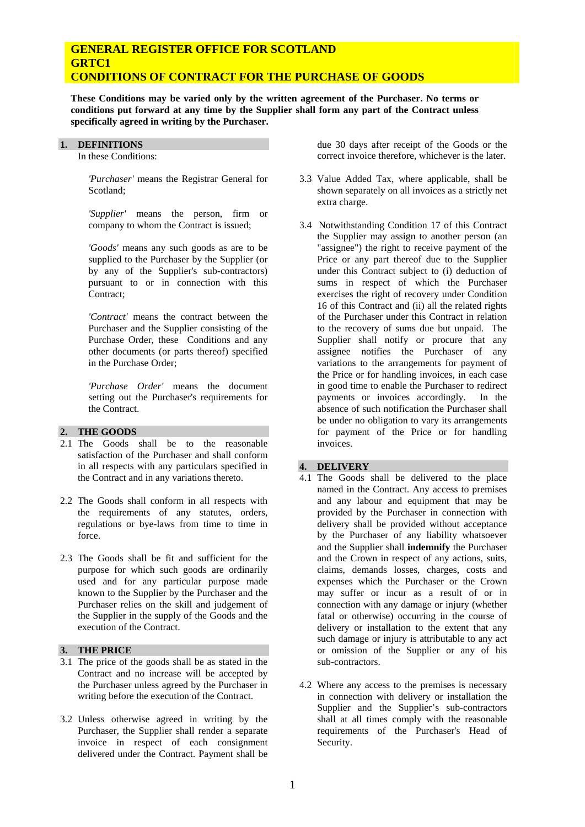# **GENERAL REGISTER OFFICE FOR SCOTLAND GRTC1 CONDITIONS OF CONTRACT FOR THE PURCHASE OF GOODS**

**These Conditions may be varied only by the written agreement of the Purchaser. No terms or conditions put forward at any time by the Supplier shall form any part of the Contract unless specifically agreed in writing by the Purchaser.** 

#### **1. DEFINITIONS**

In these Conditions:

 *'Purchaser'* means the Registrar General for Scotland;

 *'Supplier'* means the person, firm or company to whom the Contract is issued;

 *'Goods'* means any such goods as are to be supplied to the Purchaser by the Supplier (or by any of the Supplier's sub-contractors) pursuant to or in connection with this Contract:

 *'Contract'* means the contract between the Purchaser and the Supplier consisting of the Purchase Order, these Conditions and any other documents (or parts thereof) specified in the Purchase Order;

 *'Purchase Order'* means the document setting out the Purchaser's requirements for the Contract.

# **2. THE GOODS**

- 2.1 The Goods shall be to the reasonable satisfaction of the Purchaser and shall conform in all respects with any particulars specified in the Contract and in any variations thereto.
- 2.2 The Goods shall conform in all respects with the requirements of any statutes, orders, regulations or bye-laws from time to time in force.
- 2.3 The Goods shall be fit and sufficient for the purpose for which such goods are ordinarily used and for any particular purpose made known to the Supplier by the Purchaser and the Purchaser relies on the skill and judgement of the Supplier in the supply of the Goods and the execution of the Contract.

### **3. THE PRICE**

- 3.1 The price of the goods shall be as stated in the Contract and no increase will be accepted by the Purchaser unless agreed by the Purchaser in writing before the execution of the Contract.
- 3.2 Unless otherwise agreed in writing by the Purchaser, the Supplier shall render a separate invoice in respect of each consignment delivered under the Contract. Payment shall be

due 30 days after receipt of the Goods or the correct invoice therefore, whichever is the later.

- 3.3 Value Added Tax, where applicable, shall be shown separately on all invoices as a strictly net extra charge.
- 3.4 Notwithstanding Condition 17 of this Contract the Supplier may assign to another person (an "assignee") the right to receive payment of the Price or any part thereof due to the Supplier under this Contract subject to (i) deduction of sums in respect of which the Purchaser exercises the right of recovery under Condition 16 of this Contract and (ii) all the related rights of the Purchaser under this Contract in relation to the recovery of sums due but unpaid. The Supplier shall notify or procure that any assignee notifies the Purchaser of any variations to the arrangements for payment of the Price or for handling invoices, in each case in good time to enable the Purchaser to redirect payments or invoices accordingly. In the absence of such notification the Purchaser shall be under no obligation to vary its arrangements for payment of the Price or for handling invoices.

#### **4. DELIVERY**

- 4.1 The Goods shall be delivered to the place named in the Contract. Any access to premises and any labour and equipment that may be provided by the Purchaser in connection with delivery shall be provided without acceptance by the Purchaser of any liability whatsoever and the Supplier shall **indemnify** the Purchaser and the Crown in respect of any actions, suits, claims, demands losses, charges, costs and expenses which the Purchaser or the Crown may suffer or incur as a result of or in connection with any damage or injury (whether fatal or otherwise) occurring in the course of delivery or installation to the extent that any such damage or injury is attributable to any act or omission of the Supplier or any of his sub-contractors.
- 4.2 Where any access to the premises is necessary in connection with delivery or installation the Supplier and the Supplier's sub-contractors shall at all times comply with the reasonable requirements of the Purchaser's Head of Security.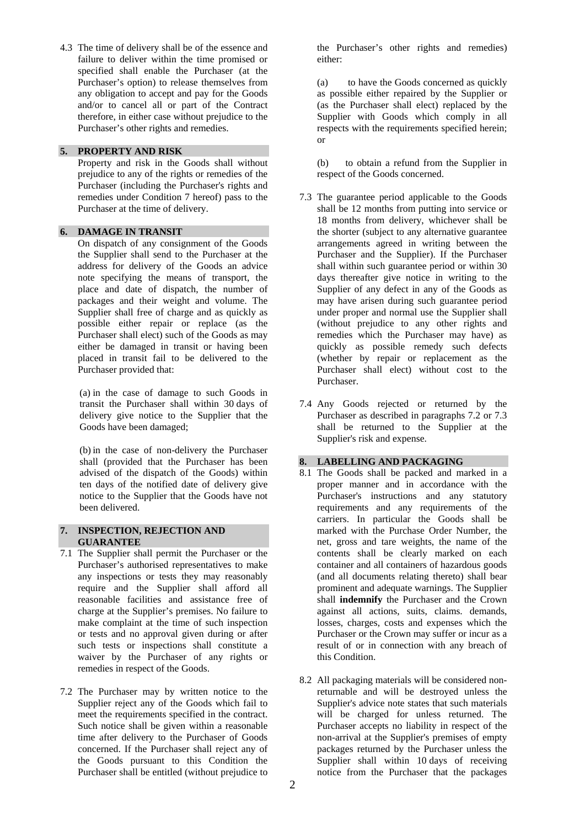4.3 The time of delivery shall be of the essence and failure to deliver within the time promised or specified shall enable the Purchaser (at the Purchaser's option) to release themselves from any obligation to accept and pay for the Goods and/or to cancel all or part of the Contract therefore, in either case without prejudice to the Purchaser's other rights and remedies.

#### **5. PROPERTY AND RISK**

 Property and risk in the Goods shall without prejudice to any of the rights or remedies of the Purchaser (including the Purchaser's rights and remedies under Condition 7 hereof) pass to the Purchaser at the time of delivery.

#### **6. DAMAGE IN TRANSIT**

 On dispatch of any consignment of the Goods the Supplier shall send to the Purchaser at the address for delivery of the Goods an advice note specifying the means of transport, the place and date of dispatch, the number of packages and their weight and volume. The Supplier shall free of charge and as quickly as possible either repair or replace (as the Purchaser shall elect) such of the Goods as may either be damaged in transit or having been placed in transit fail to be delivered to the Purchaser provided that:

(a) in the case of damage to such Goods in transit the Purchaser shall within 30 days of delivery give notice to the Supplier that the Goods have been damaged;

(b) in the case of non-delivery the Purchaser shall (provided that the Purchaser has been advised of the dispatch of the Goods) within ten days of the notified date of delivery give notice to the Supplier that the Goods have not been delivered.

#### **7. INSPECTION, REJECTION AND GUARANTEE**

- 7.1 The Supplier shall permit the Purchaser or the Purchaser's authorised representatives to make any inspections or tests they may reasonably require and the Supplier shall afford all reasonable facilities and assistance free of charge at the Supplier's premises. No failure to make complaint at the time of such inspection or tests and no approval given during or after such tests or inspections shall constitute a waiver by the Purchaser of any rights or remedies in respect of the Goods.
- 7.2 The Purchaser may by written notice to the Supplier reject any of the Goods which fail to meet the requirements specified in the contract. Such notice shall be given within a reasonable time after delivery to the Purchaser of Goods concerned. If the Purchaser shall reject any of the Goods pursuant to this Condition the Purchaser shall be entitled (without prejudice to

the Purchaser's other rights and remedies) either:

 (a) to have the Goods concerned as quickly as possible either repaired by the Supplier or (as the Purchaser shall elect) replaced by the Supplier with Goods which comply in all respects with the requirements specified herein; or

 (b) to obtain a refund from the Supplier in respect of the Goods concerned.

- 7.3 The guarantee period applicable to the Goods shall be 12 months from putting into service or 18 months from delivery, whichever shall be the shorter (subject to any alternative guarantee arrangements agreed in writing between the Purchaser and the Supplier). If the Purchaser shall within such guarantee period or within 30 days thereafter give notice in writing to the Supplier of any defect in any of the Goods as may have arisen during such guarantee period under proper and normal use the Supplier shall (without prejudice to any other rights and remedies which the Purchaser may have) as quickly as possible remedy such defects (whether by repair or replacement as the Purchaser shall elect) without cost to the Purchaser.
- 7.4 Any Goods rejected or returned by the Purchaser as described in paragraphs 7.2 or 7.3 shall be returned to the Supplier at the Supplier's risk and expense.

# **8. LABELLING AND PACKAGING**

- 8.1 The Goods shall be packed and marked in a proper manner and in accordance with the Purchaser's instructions and any statutory requirements and any requirements of the carriers. In particular the Goods shall be marked with the Purchase Order Number, the net, gross and tare weights, the name of the contents shall be clearly marked on each container and all containers of hazardous goods (and all documents relating thereto) shall bear prominent and adequate warnings. The Supplier shall **indemnify** the Purchaser and the Crown against all actions, suits, claims. demands, losses, charges, costs and expenses which the Purchaser or the Crown may suffer or incur as a result of or in connection with any breach of this Condition.
- 8.2 All packaging materials will be considered nonreturnable and will be destroyed unless the Supplier's advice note states that such materials will be charged for unless returned. The Purchaser accepts no liability in respect of the non-arrival at the Supplier's premises of empty packages returned by the Purchaser unless the Supplier shall within 10 days of receiving notice from the Purchaser that the packages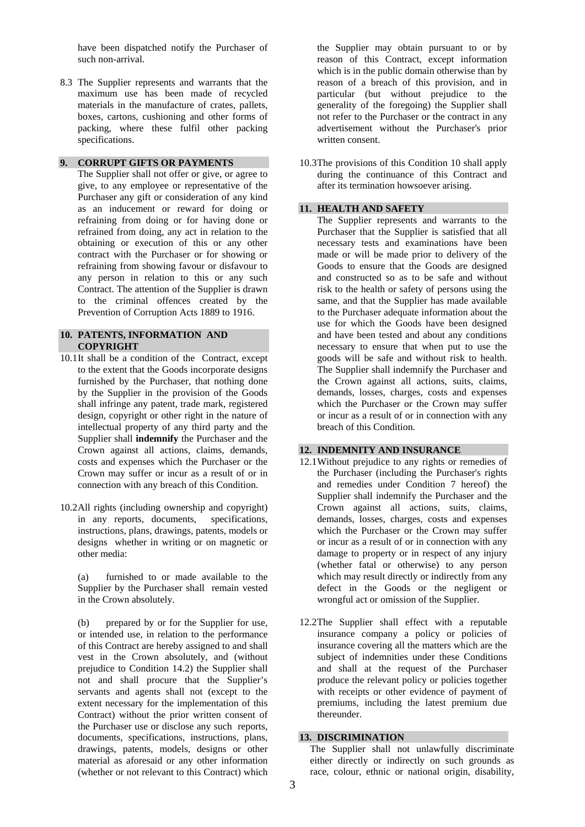have been dispatched notify the Purchaser of such non-arrival.

8.3 The Supplier represents and warrants that the maximum use has been made of recycled materials in the manufacture of crates, pallets, boxes, cartons, cushioning and other forms of packing, where these fulfil other packing specifications.

#### **9. CORRUPT GIFTS OR PAYMENTS**

 The Supplier shall not offer or give, or agree to give, to any employee or representative of the Purchaser any gift or consideration of any kind as an inducement or reward for doing or refraining from doing or for having done or refrained from doing, any act in relation to the obtaining or execution of this or any other contract with the Purchaser or for showing or refraining from showing favour or disfavour to any person in relation to this or any such Contract. The attention of the Supplier is drawn to the criminal offences created by the Prevention of Corruption Acts 1889 to 1916.

#### **10. PATENTS, INFORMATION AND COPYRIGHT**

- 10.1 It shall be a condition of the Contract, except to the extent that the Goods incorporate designs furnished by the Purchaser, that nothing done by the Supplier in the provision of the Goods shall infringe any patent, trade mark, registered design, copyright or other right in the nature of intellectual property of any third party and the Supplier shall **indemnify** the Purchaser and the Crown against all actions, claims, demands, costs and expenses which the Purchaser or the Crown may suffer or incur as a result of or in connection with any breach of this Condition.
- 10.2 All rights (including ownership and copyright) in any reports, documents, specifications, instructions, plans, drawings, patents, models or designs whether in writing or on magnetic or other media:

 (a) furnished to or made available to the Supplier by the Purchaser shall remain vested in the Crown absolutely.

 (b) prepared by or for the Supplier for use, or intended use, in relation to the performance of this Contract are hereby assigned to and shall vest in the Crown absolutely, and (without prejudice to Condition 14.2) the Supplier shall not and shall procure that the Supplier's servants and agents shall not (except to the extent necessary for the implementation of this Contract) without the prior written consent of the Purchaser use or disclose any such reports, documents, specifications, instructions, plans, drawings, patents, models, designs or other material as aforesaid or any other information (whether or not relevant to this Contract) which

the Supplier may obtain pursuant to or by reason of this Contract, except information which is in the public domain otherwise than by reason of a breach of this provision, and in particular (but without prejudice to the generality of the foregoing) the Supplier shall not refer to the Purchaser or the contract in any advertisement without the Purchaser's prior written consent.

10.3 The provisions of this Condition 10 shall apply during the continuance of this Contract and after its termination howsoever arising.

#### **11. HEALTH AND SAFETY**

 The Supplier represents and warrants to the Purchaser that the Supplier is satisfied that all necessary tests and examinations have been made or will be made prior to delivery of the Goods to ensure that the Goods are designed and constructed so as to be safe and without risk to the health or safety of persons using the same, and that the Supplier has made available to the Purchaser adequate information about the use for which the Goods have been designed and have been tested and about any conditions necessary to ensure that when put to use the goods will be safe and without risk to health. The Supplier shall indemnify the Purchaser and the Crown against all actions, suits, claims, demands, losses, charges, costs and expenses which the Purchaser or the Crown may suffer or incur as a result of or in connection with any breach of this Condition.

#### **12. INDEMNITY AND INSURANCE**

- 12.1 Without prejudice to any rights or remedies of the Purchaser (including the Purchaser's rights and remedies under Condition 7 hereof) the Supplier shall indemnify the Purchaser and the Crown against all actions, suits, claims, demands, losses, charges, costs and expenses which the Purchaser or the Crown may suffer or incur as a result of or in connection with any damage to property or in respect of any injury (whether fatal or otherwise) to any person which may result directly or indirectly from any defect in the Goods or the negligent or wrongful act or omission of the Supplier.
- 12.2 The Supplier shall effect with a reputable insurance company a policy or policies of insurance covering all the matters which are the subject of indemnities under these Conditions and shall at the request of the Purchaser produce the relevant policy or policies together with receipts or other evidence of payment of premiums, including the latest premium due thereunder.

#### **13. DISCRIMINATION**

The Supplier shall not unlawfully discriminate either directly or indirectly on such grounds as race, colour, ethnic or national origin, disability,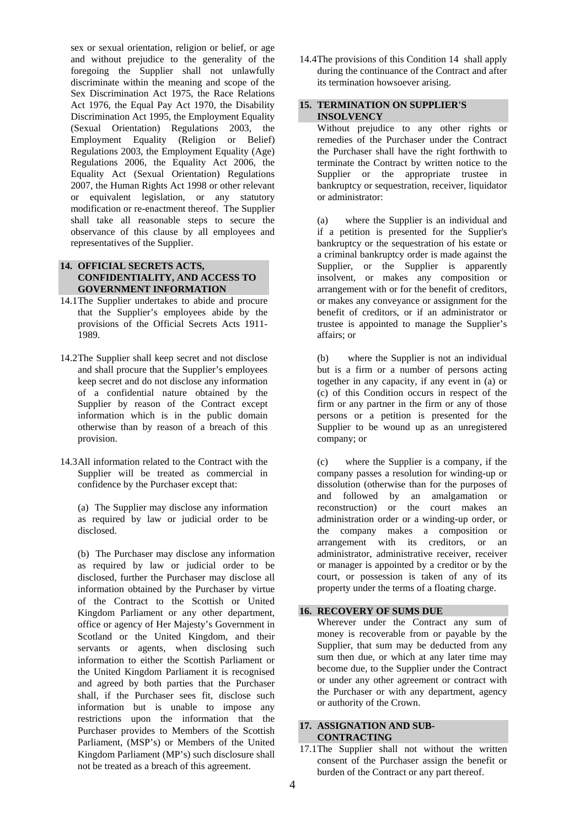sex or sexual orientation, religion or belief, or age and without prejudice to the generality of the foregoing the Supplier shall not unlawfully discriminate within the meaning and scope of the Sex Discrimination Act 1975, the Race Relations Act 1976, the Equal Pay Act 1970, the Disability Discrimination Act 1995, the Employment Equality (Sexual Orientation) Regulations 2003, the Employment Equality (Religion or Belief) Regulations 2003, the Employment Equality (Age) Regulations 2006, the Equality Act 2006, the Equality Act (Sexual Orientation) Regulations 2007, the Human Rights Act 1998 or other relevant or equivalent legislation, or any statutory modification or re-enactment thereof. The Supplier shall take all reasonable steps to secure the observance of this clause by all employees and representatives of the Supplier.

#### **14. OFFICIAL SECRETS ACTS, CONFIDENTIALITY, AND ACCESS TO GOVERNMENT INFORMATION**

- 14.1 The Supplier undertakes to abide and procure that the Supplier's employees abide by the provisions of the Official Secrets Acts 1911- 1989.
- 14.2 The Supplier shall keep secret and not disclose and shall procure that the Supplier's employees keep secret and do not disclose any information of a confidential nature obtained by the Supplier by reason of the Contract except information which is in the public domain otherwise than by reason of a breach of this provision.
- 14.3 All information related to the Contract with the Supplier will be treated as commercial in confidence by the Purchaser except that:

 (a) The Supplier may disclose any information as required by law or judicial order to be disclosed.

(b) The Purchaser may disclose any information as required by law or judicial order to be disclosed, further the Purchaser may disclose all information obtained by the Purchaser by virtue of the Contract to the Scottish or United Kingdom Parliament or any other department, office or agency of Her Majesty's Government in Scotland or the United Kingdom, and their servants or agents, when disclosing such information to either the Scottish Parliament or the United Kingdom Parliament it is recognised and agreed by both parties that the Purchaser shall, if the Purchaser sees fit, disclose such information but is unable to impose any restrictions upon the information that the Purchaser provides to Members of the Scottish Parliament, (MSP's) or Members of the United Kingdom Parliament (MP's) such disclosure shall not be treated as a breach of this agreement.

14.4 The provisions of this Condition 14 shall apply during the continuance of the Contract and after its termination howsoever arising.

## **15. TERMINATION ON SUPPLIER'S INSOLVENCY**

 Without prejudice to any other rights or remedies of the Purchaser under the Contract the Purchaser shall have the right forthwith to terminate the Contract by written notice to the Supplier or the appropriate trustee in bankruptcy or sequestration, receiver, liquidator or administrator:

 (a) where the Supplier is an individual and if a petition is presented for the Supplier's bankruptcy or the sequestration of his estate or a criminal bankruptcy order is made against the Supplier, or the Supplier is apparently insolvent, or makes any composition or arrangement with or for the benefit of creditors, or makes any conveyance or assignment for the benefit of creditors, or if an administrator or trustee is appointed to manage the Supplier's affairs; or

 (b) where the Supplier is not an individual but is a firm or a number of persons acting together in any capacity, if any event in (a) or (c) of this Condition occurs in respect of the firm or any partner in the firm or any of those persons or a petition is presented for the Supplier to be wound up as an unregistered company; or

 (c) where the Supplier is a company, if the company passes a resolution for winding-up or dissolution (otherwise than for the purposes of and followed by an amalgamation or reconstruction) or the court makes an administration order or a winding-up order, or the company makes a composition or arrangement with its creditors, or an administrator, administrative receiver, receiver or manager is appointed by a creditor or by the court, or possession is taken of any of its property under the terms of a floating charge.

## **16. RECOVERY OF SUMS DUE**

 Wherever under the Contract any sum of money is recoverable from or payable by the Supplier, that sum may be deducted from any sum then due, or which at any later time may become due, to the Supplier under the Contract or under any other agreement or contract with the Purchaser or with any department, agency or authority of the Crown.

#### **17. ASSIGNATION AND SUB-CONTRACTING**

17.1 The Supplier shall not without the written consent of the Purchaser assign the benefit or burden of the Contract or any part thereof.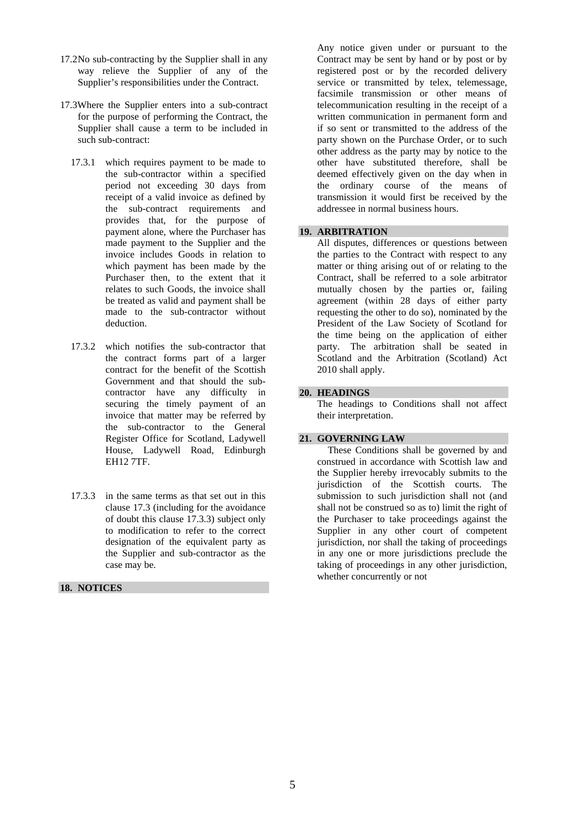- 17.2 No sub-contracting by the Supplier shall in any way relieve the Supplier of any of the Supplier's responsibilities under the Contract.
- 17.3Where the Supplier enters into a sub-contract for the purpose of performing the Contract, the Supplier shall cause a term to be included in such sub-contract:
	- 17.3.1 which requires payment to be made to the sub-contractor within a specified period not exceeding 30 days from receipt of a valid invoice as defined by the sub-contract requirements and provides that, for the purpose of payment alone, where the Purchaser has made payment to the Supplier and the invoice includes Goods in relation to which payment has been made by the Purchaser then, to the extent that it relates to such Goods, the invoice shall be treated as valid and payment shall be made to the sub-contractor without deduction.
	- 17.3.2 which notifies the sub-contractor that the contract forms part of a larger contract for the benefit of the Scottish Government and that should the subcontractor have any difficulty in securing the timely payment of an invoice that matter may be referred by the sub-contractor to the General Register Office for Scotland, Ladywell House, Ladywell Road, Edinburgh EH12 7TF.
	- 17.3.3 in the same terms as that set out in this clause 17.3 (including for the avoidance of doubt this clause 17.3.3) subject only to modification to refer to the correct designation of the equivalent party as the Supplier and sub-contractor as the case may be.

## **18. NOTICES**

 Any notice given under or pursuant to the Contract may be sent by hand or by post or by registered post or by the recorded delivery service or transmitted by telex, telemessage, facsimile transmission or other means of telecommunication resulting in the receipt of a written communication in permanent form and if so sent or transmitted to the address of the party shown on the Purchase Order, or to such other address as the party may by notice to the other have substituted therefore, shall be deemed effectively given on the day when in the ordinary course of the means of transmission it would first be received by the addressee in normal business hours.

#### **19. ARBITRATION**

 All disputes, differences or questions between the parties to the Contract with respect to any matter or thing arising out of or relating to the Contract, shall be referred to a sole arbitrator mutually chosen by the parties or, failing agreement (within 28 days of either party requesting the other to do so), nominated by the President of the Law Society of Scotland for the time being on the application of either party. The arbitration shall be seated in Scotland and the Arbitration (Scotland) Act 2010 shall apply.

#### **20. HEADINGS**

 The headings to Conditions shall not affect their interpretation.

#### **21. GOVERNING LAW**

 These Conditions shall be governed by and construed in accordance with Scottish law and the Supplier hereby irrevocably submits to the jurisdiction of the Scottish courts. The submission to such jurisdiction shall not (and shall not be construed so as to) limit the right of the Purchaser to take proceedings against the Supplier in any other court of competent jurisdiction, nor shall the taking of proceedings in any one or more jurisdictions preclude the taking of proceedings in any other jurisdiction, whether concurrently or not